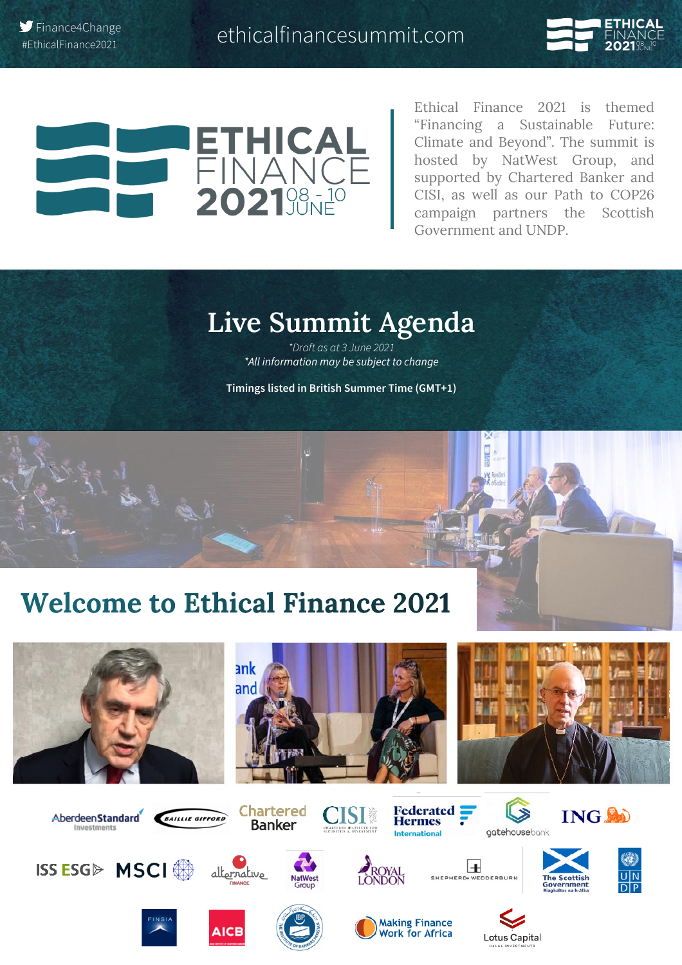



Finance4Change

**`**

Ethical Finance 2021 is themed "Financing a Sustainable Future: Climate and Beyond". The summit is hosted by NatWest Group, and supported by Chartered Banker and CISI, as well as our Path to COP26 campaign partners the Scottish Government and UNDP.

## **Live Summit Agenda**

*\*Draft as at 3 June 2021 \*All information may be subject to change*

**Timings listed in British Summer Time (GMT+1)**

# **Welcome to Ethical Finance 2021**











































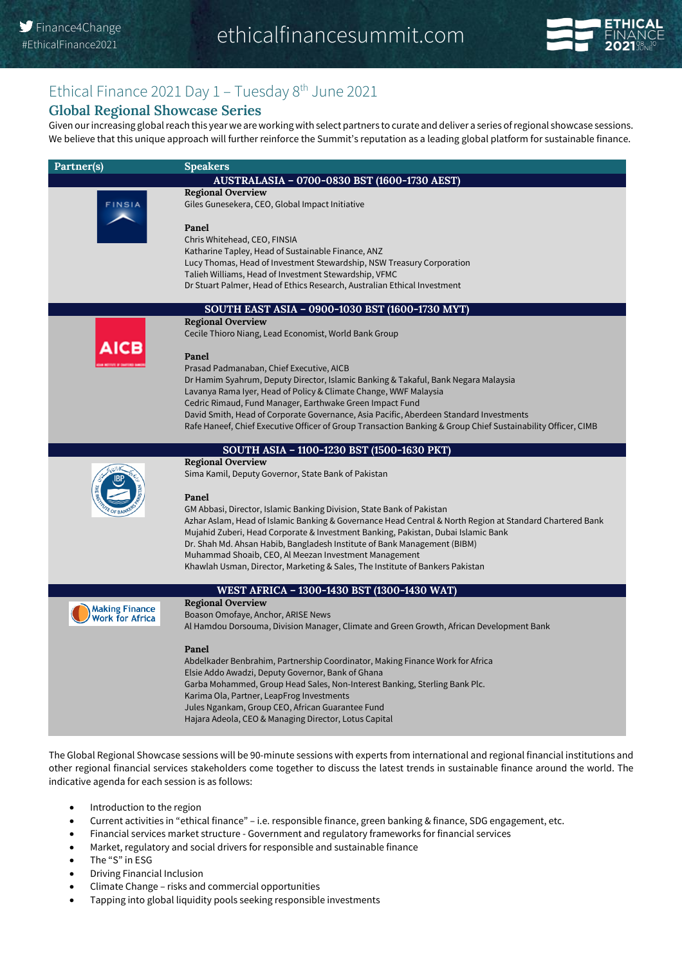

#### Ethical Finance 2021 Day 1 - Tuesday 8<sup>th</sup> June 2021

#### **Global Regional Showcase Series**

Given our increasing global reach this year we are working with select partners to curate and deliver a series of regional showcase sessions. We believe that this unique approach will further reinforce the Summit's reputation as a leading global platform for sustainable finance.

| Partner(s)             | <b>Speakers</b>                                                                                                                                                                   |
|------------------------|-----------------------------------------------------------------------------------------------------------------------------------------------------------------------------------|
|                        | AUSTRALASIA - 0700-0830 BST (1600-1730 AEST)                                                                                                                                      |
|                        | <b>Regional Overview</b>                                                                                                                                                          |
| <b>FINSIA</b>          | Giles Gunesekera, CEO, Global Impact Initiative                                                                                                                                   |
|                        |                                                                                                                                                                                   |
|                        | Panel                                                                                                                                                                             |
|                        | Chris Whitehead, CEO, FINSIA                                                                                                                                                      |
|                        | Katharine Tapley, Head of Sustainable Finance, ANZ                                                                                                                                |
|                        | Lucy Thomas, Head of Investment Stewardship, NSW Treasury Corporation                                                                                                             |
|                        | Talieh Williams, Head of Investment Stewardship, VFMC                                                                                                                             |
|                        | Dr Stuart Palmer, Head of Ethics Research, Australian Ethical Investment                                                                                                          |
|                        | SOUTH EAST ASIA - 0900-1030 BST (1600-1730 MYT)                                                                                                                                   |
|                        | <b>Regional Overview</b>                                                                                                                                                          |
|                        | Cecile Thioro Niang, Lead Economist, World Bank Group                                                                                                                             |
|                        |                                                                                                                                                                                   |
|                        | Panel                                                                                                                                                                             |
|                        | Prasad Padmanaban, Chief Executive, AICB                                                                                                                                          |
|                        | Dr Hamim Syahrum, Deputy Director, Islamic Banking & Takaful, Bank Negara Malaysia                                                                                                |
|                        | Lavanya Rama Iyer, Head of Policy & Climate Change, WWF Malaysia                                                                                                                  |
|                        | Cedric Rimaud, Fund Manager, Earthwake Green Impact Fund<br>David Smith, Head of Corporate Governance, Asia Pacific, Aberdeen Standard Investments                                |
|                        | Rafe Haneef, Chief Executive Officer of Group Transaction Banking & Group Chief Sustainability Officer, CIMB                                                                      |
|                        |                                                                                                                                                                                   |
|                        | SOUTH ASIA - 1100-1230 BST (1500-1630 PKT)                                                                                                                                        |
|                        | <b>Regional Overview</b>                                                                                                                                                          |
|                        | Sima Kamil, Deputy Governor, State Bank of Pakistan                                                                                                                               |
|                        |                                                                                                                                                                                   |
|                        | Panel                                                                                                                                                                             |
|                        | GM Abbasi, Director, Islamic Banking Division, State Bank of Pakistan<br>Azhar Aslam, Head of Islamic Banking & Governance Head Central & North Region at Standard Chartered Bank |
|                        | Mujahid Zuberi, Head Corporate & Investment Banking, Pakistan, Dubai Islamic Bank                                                                                                 |
|                        | Dr. Shah Md. Ahsan Habib, Bangladesh Institute of Bank Management (BIBM)                                                                                                          |
|                        | Muhammad Shoaib, CEO, Al Meezan Investment Management                                                                                                                             |
|                        | Khawlah Usman, Director, Marketing & Sales, The Institute of Bankers Pakistan                                                                                                     |
|                        |                                                                                                                                                                                   |
|                        | WEST AFRICA - 1300-1430 BST (1300-1430 WAT)                                                                                                                                       |
| <b>Making Finance</b>  | <b>Regional Overview</b>                                                                                                                                                          |
| <b>Work for Africa</b> | Boason Omofaye, Anchor, ARISE News                                                                                                                                                |
|                        | Al Hamdou Dorsouma, Division Manager, Climate and Green Growth, African Development Bank                                                                                          |
|                        | Panel                                                                                                                                                                             |
|                        | Abdelkader Benbrahim, Partnership Coordinator, Making Finance Work for Africa                                                                                                     |
|                        | Elsie Addo Awadzi, Deputy Governor, Bank of Ghana                                                                                                                                 |
|                        | Garba Mohammed, Group Head Sales, Non-Interest Banking, Sterling Bank Plc.                                                                                                        |
|                        | Karima Ola, Partner, LeapFrog Investments                                                                                                                                         |
|                        | Jules Ngankam, Group CEO, African Guarantee Fund                                                                                                                                  |
|                        | Hajara Adeola, CEO & Managing Director, Lotus Capital                                                                                                                             |
|                        |                                                                                                                                                                                   |

The Global Regional Showcase sessions will be 90-minute sessions with experts from international and regional financial institutions and other regional financial services stakeholders come together to discuss the latest trends in sustainable finance around the world. The indicative agenda for each session is as follows:

- Introduction to the region
- Current activities in "ethical finance" i.e. responsible finance, green banking & finance, SDG engagement, etc.
- Financial services market structure Government and regulatory frameworks for financial services
- Market, regulatory and social drivers for responsible and sustainable finance
- The "S" in ESG
- Driving Financial Inclusion
- Climate Change risks and commercial opportunities
- Tapping into global liquidity pools seeking responsible investments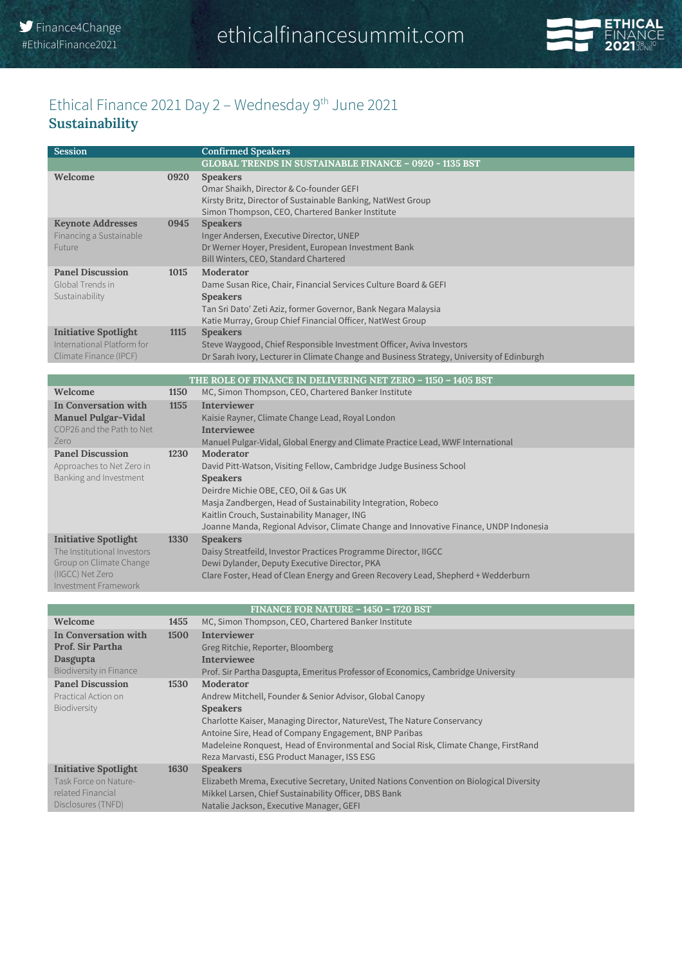

#### Ethical Finance 2021 Day 2 - Wednesday 9<sup>th</sup> June 2021 **Sustainability**

| <b>Session</b>                                                                      |      | <b>Confirmed Speakers</b>                                                                                                                                                                                                       |
|-------------------------------------------------------------------------------------|------|---------------------------------------------------------------------------------------------------------------------------------------------------------------------------------------------------------------------------------|
|                                                                                     |      | <b>GLOBAL TRENDS IN SUSTAINABLE FINANCE - 0920 - 1135 BST</b>                                                                                                                                                                   |
| Welcome                                                                             | 0920 | <b>Speakers</b><br>Omar Shaikh, Director & Co-founder GEFI<br>Kirsty Britz, Director of Sustainable Banking, NatWest Group<br>Simon Thompson, CEO, Chartered Banker Institute                                                   |
| <b>Keynote Addresses</b><br>Financing a Sustainable<br>Future                       | 0945 | <b>Speakers</b><br>Inger Andersen, Executive Director, UNEP<br>Dr Werner Hoyer, President, European Investment Bank<br>Bill Winters, CEO, Standard Chartered                                                                    |
| <b>Panel Discussion</b><br>Global Trends in<br>Sustainability                       | 1015 | Moderator<br>Dame Susan Rice, Chair, Financial Services Culture Board & GEFI<br><b>Speakers</b><br>Tan Sri Dato' Zeti Aziz, former Governor, Bank Negara Malaysia<br>Katie Murray, Group Chief Financial Officer, NatWest Group |
| <b>Initiative Spotlight</b><br>International Platform for<br>Climate Finance (IPCF) | 1115 | <b>Speakers</b><br>Steve Waygood, Chief Responsible Investment Officer, Aviva Investors<br>Dr Sarah Ivory, Lecturer in Climate Change and Business Strategy, University of Edinburgh                                            |
|                                                                                     |      | THE ROLE OF FINANCE IN DELIVERING NET ZERO - 1150 - 1405 BST                                                                                                                                                                    |
| Welcome                                                                             | 1150 | MC, Simon Thompson, CEO, Chartered Banker Institute                                                                                                                                                                             |

| In Conversation with<br><b>Manuel Pulgar-Vidal</b><br>COP26 and the Path to Net<br>Zero                                           | 1155 | <b>Interviewer</b><br>Kaisie Rayner, Climate Change Lead, Royal London<br><b>Interviewee</b><br>Manuel Pulgar-Vidal, Global Energy and Climate Practice Lead, WWF International                                                                                                                                                                      |
|-----------------------------------------------------------------------------------------------------------------------------------|------|------------------------------------------------------------------------------------------------------------------------------------------------------------------------------------------------------------------------------------------------------------------------------------------------------------------------------------------------------|
| <b>Panel Discussion</b><br>Approaches to Net Zero in<br>Banking and Investment                                                    | 1230 | Moderator<br>David Pitt-Watson, Visiting Fellow, Cambridge Judge Business School<br><b>Speakers</b><br>Deirdre Michie OBE, CEO, Oil & Gas UK<br>Masja Zandbergen, Head of Sustainability Integration, Robeco<br>Kaitlin Crouch, Sustainability Manager, ING<br>Joanne Manda, Regional Advisor, Climate Change and Innovative Finance, UNDP Indonesia |
| <b>Initiative Spotlight</b><br>The Institutional Investors<br>Group on Climate Change<br>(IIGCC) Net Zero<br>Investment Framework | 1330 | <b>Speakers</b><br>Daisy Streatfeild, Investor Practices Programme Director, IIGCC<br>Dewi Dylander, Deputy Executive Director, PKA<br>Clare Foster, Head of Clean Energy and Green Recovery Lead, Shepherd + Wedderburn                                                                                                                             |

| <b>FINANCE FOR NATURE - 1450 - 1720 BST</b>                                                     |      |                                                                                                                                                                                                                                                                                                                                                                     |  |
|-------------------------------------------------------------------------------------------------|------|---------------------------------------------------------------------------------------------------------------------------------------------------------------------------------------------------------------------------------------------------------------------------------------------------------------------------------------------------------------------|--|
| Welcome                                                                                         | 1455 | MC, Simon Thompson, CEO, Chartered Banker Institute                                                                                                                                                                                                                                                                                                                 |  |
| In Conversation with<br>Prof. Sir Partha<br>Dasgupta<br>Biodiversity in Finance                 | 1500 | <b>Interviewer</b><br>Greg Ritchie, Reporter, Bloomberg<br><b>Interviewee</b><br>Prof. Sir Partha Dasgupta, Emeritus Professor of Economics, Cambridge University                                                                                                                                                                                                   |  |
| <b>Panel Discussion</b><br>Practical Action on<br>Biodiversity                                  | 1530 | Moderator<br>Andrew Mitchell, Founder & Senior Advisor, Global Canopy<br><b>Speakers</b><br>Charlotte Kaiser, Managing Director, NatureVest, The Nature Conservancy<br>Antoine Sire, Head of Company Engagement, BNP Paribas<br>Madeleine Ronguest, Head of Environmental and Social Risk, Climate Change, FirstRand<br>Reza Marvasti, ESG Product Manager, ISS ESG |  |
| <b>Initiative Spotlight</b><br>Task Force on Nature-<br>related Financial<br>Disclosures (TNFD) | 1630 | <b>Speakers</b><br>Elizabeth Mrema, Executive Secretary, United Nations Convention on Biological Diversity<br>Mikkel Larsen, Chief Sustainability Officer, DBS Bank<br>Natalie Jackson, Executive Manager, GEFI                                                                                                                                                     |  |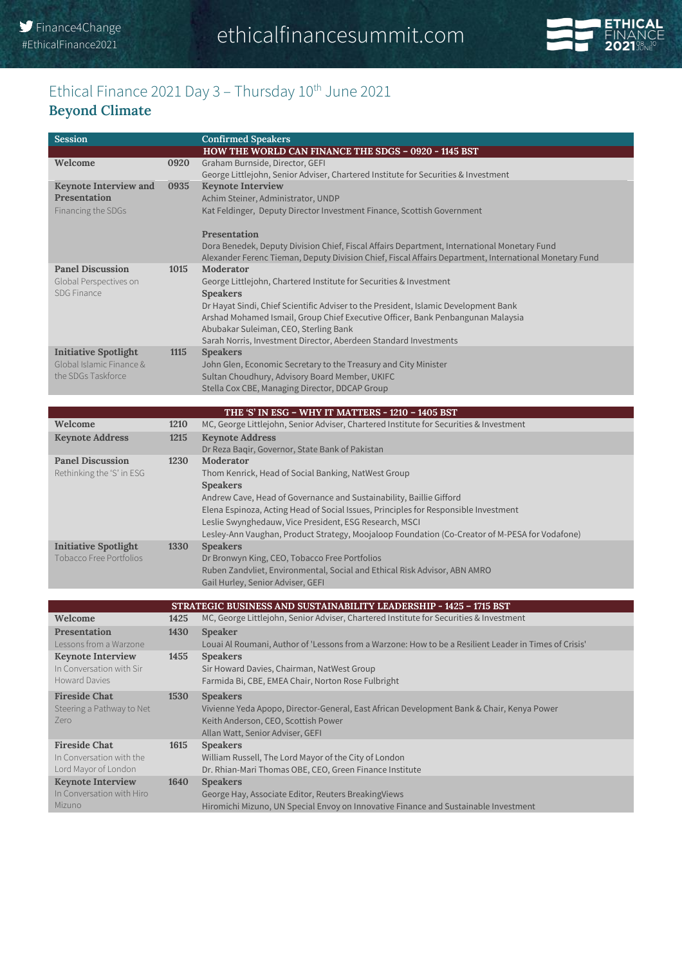

#### Ethical Finance 2021 Day 3 - Thursday 10<sup>th</sup> June 2021 **Beyond Climate**

| Session                      |      | <b>Confirmed Speakers</b>                                                                              |
|------------------------------|------|--------------------------------------------------------------------------------------------------------|
|                              |      | HOW THE WORLD CAN FINANCE THE SDGS - 0920 - 1145 BST                                                   |
| Welcome                      | 0920 | Graham Burnside, Director, GEFI                                                                        |
|                              |      | George Littlejohn, Senior Adviser, Chartered Institute for Securities & Investment                     |
| <b>Keynote Interview and</b> | 0935 | <b>Keynote Interview</b>                                                                               |
| <b>Presentation</b>          |      | Achim Steiner, Administrator, UNDP                                                                     |
| Financing the SDGs           |      | Kat Feldinger, Deputy Director Investment Finance, Scottish Government                                 |
|                              |      | Presentation                                                                                           |
|                              |      | Dora Benedek, Deputy Division Chief, Fiscal Affairs Department, International Monetary Fund            |
|                              |      | Alexander Ferenc Tieman, Deputy Division Chief, Fiscal Affairs Department, International Monetary Fund |
| <b>Panel Discussion</b>      | 1015 | Moderator                                                                                              |
| Global Perspectives on       |      | George Littlejohn, Chartered Institute for Securities & Investment                                     |
| <b>SDG Finance</b>           |      | <b>Speakers</b>                                                                                        |
|                              |      | Dr Hayat Sindi, Chief Scientific Adviser to the President, Islamic Development Bank                    |
|                              |      | Arshad Mohamed Ismail, Group Chief Executive Officer, Bank Penbangunan Malaysia                        |
|                              |      | Abubakar Suleiman, CEO, Sterling Bank                                                                  |
|                              |      | Sarah Norris, Investment Director, Aberdeen Standard Investments                                       |
| <b>Initiative Spotlight</b>  | 1115 | <b>Speakers</b>                                                                                        |
| Global Islamic Finance &     |      | John Glen, Economic Secretary to the Treasury and City Minister                                        |
| the SDGs Taskforce           |      | Sultan Choudhury, Advisory Board Member, UKIFC                                                         |
|                              |      | Stella Cox CBE, Managing Director, DDCAP Group                                                         |
|                              |      |                                                                                                        |
|                              |      | THE 'S' IN ESG - WHY IT MATTERS - 1210 - 1405 BST                                                      |
| Welcome                      | 1210 | MC, George Littlejohn, Senior Adviser, Chartered Institute for Securities & Investment                 |
| <b>Keynote Address</b>       | 1215 | <b>Keynote Address</b>                                                                                 |
|                              |      | Dr Reza Bagir, Governor, State Bank of Pakistan                                                        |
| <b>Panel Discussion</b>      | 1230 | Moderator                                                                                              |
| Rethinking the 'S' in ESG    |      | Thom Kenrick, Head of Social Banking, NatWest Group                                                    |
|                              |      |                                                                                                        |

|                             |      | <b>Speakers</b>                                                                                |
|-----------------------------|------|------------------------------------------------------------------------------------------------|
|                             |      | Andrew Cave, Head of Governance and Sustainability, Baillie Gifford                            |
|                             |      | Elena Espinoza, Acting Head of Social Issues, Principles for Responsible Investment            |
|                             |      | Leslie Swynghedauw, Vice President, ESG Research, MSCI                                         |
|                             |      | Lesley-Ann Vaughan, Product Strategy, Moojaloop Foundation (Co-Creator of M-PESA for Vodafone) |
| <b>Initiative Spotlight</b> | 1330 | <b>Speakers</b>                                                                                |
| Tobacco Free Portfolios     |      | Dr Bronwyn King, CEO, Tobacco Free Portfolios                                                  |
|                             |      | Ruben Zandvliet, Environmental, Social and Ethical Risk Advisor, ABN AMRO                      |
|                             |      | Gail Hurley, Senior Adviser, GEFI                                                              |

| STRATEGIC BUSINESS AND SUSTAINABILITY LEADERSHIP - 1425 - 1715 BST |      |                                                                                                                                                                                         |
|--------------------------------------------------------------------|------|-----------------------------------------------------------------------------------------------------------------------------------------------------------------------------------------|
| Welcome                                                            | 1425 | MC, George Littlejohn, Senior Adviser, Chartered Institute for Securities & Investment                                                                                                  |
| <b>Presentation</b>                                                | 1430 | <b>Speaker</b>                                                                                                                                                                          |
| Lessons from a Warzone                                             |      | Louai Al Roumani, Author of 'Lessons from a Warzone: How to be a Resilient Leader in Times of Crisis'                                                                                   |
| <b>Keynote Interview</b>                                           | 1455 | <b>Speakers</b>                                                                                                                                                                         |
| In Conversation with Sir                                           |      | Sir Howard Davies, Chairman, NatWest Group                                                                                                                                              |
| Howard Davies                                                      |      | Farmida Bi, CBE, EMEA Chair, Norton Rose Fulbright                                                                                                                                      |
| <b>Fireside Chat</b><br>Steering a Pathway to Net<br>Zero          | 1530 | <b>Speakers</b><br>Vivienne Yeda Apopo, Director-General, East African Development Bank & Chair, Kenya Power<br>Keith Anderson, CEO, Scottish Power<br>Allan Watt, Senior Adviser, GEFI |
| <b>Fireside Chat</b>                                               | 1615 | <b>Speakers</b>                                                                                                                                                                         |
| In Conversation with the                                           |      | William Russell, The Lord Mayor of the City of London                                                                                                                                   |
| Lord Mayor of London                                               |      | Dr. Rhian-Mari Thomas OBE, CEO, Green Finance Institute                                                                                                                                 |
| <b>Keynote Interview</b>                                           | 1640 | <b>Speakers</b>                                                                                                                                                                         |
| In Conversation with Hiro                                          |      | George Hay, Associate Editor, Reuters BreakingViews                                                                                                                                     |
| <b>Mizuno</b>                                                      |      | Hiromichi Mizuno, UN Special Envoy on Innovative Finance and Sustainable Investment                                                                                                     |